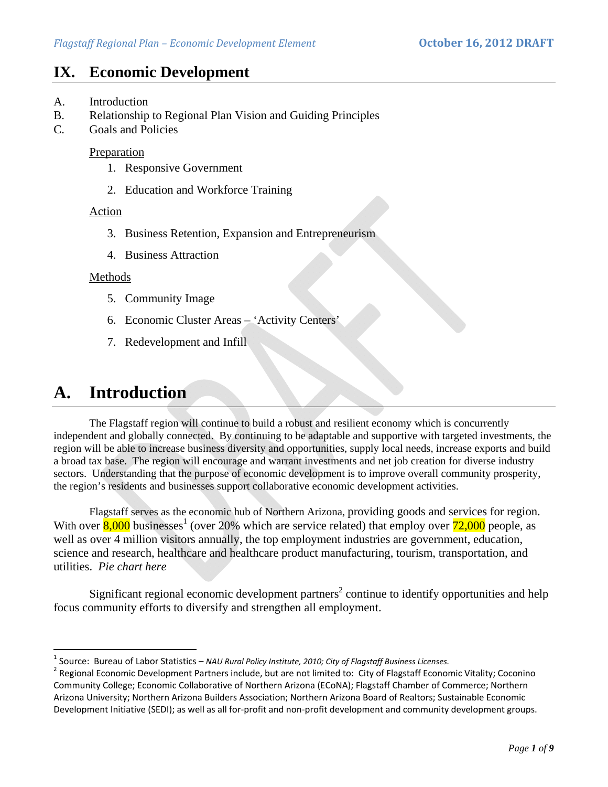# **IX. Economic Development**

- A. Introduction
- B. Relationship to Regional Plan Vision and Guiding Principles
- C. Goals and Policies

### **Preparation**

- 1. Responsive Government
- 2. Education and Workforce Training

### Action

- 3. Business Retention, Expansion and Entrepreneurism
- 4. Business Attraction

### Methods

- 5. Community Image
- 6. Economic Cluster Areas 'Activity Centers'
- 7. Redevelopment and Infill

# **A. Introduction**

 The Flagstaff region will continue to build a robust and resilient economy which is concurrently independent and globally connected. By continuing to be adaptable and supportive with targeted investments, the region will be able to increase business diversity and opportunities, supply local needs, increase exports and build a broad tax base. The region will encourage and warrant investments and net job creation for diverse industry sectors. Understanding that the purpose of economic development is to improve overall community prosperity, the region's residents and businesses support collaborative economic development activities.

Flagstaff serves as the economic hub of Northern Arizona, providing goods and services for region. With over  $\frac{8,000}{8,000}$  businesses<sup>1</sup> (over 20% which are service related) that employ over  $\frac{72,000}{8}$  people, as well as over 4 million visitors annually, the top employment industries are government, education, science and research, healthcare and healthcare product manufacturing, tourism, transportation, and utilities. *Pie chart here*

Significant regional economic development partners<sup>2</sup> continue to identify opportunities and help focus community efforts to diversify and strengthen all employment.

<sup>&</sup>lt;sup>1</sup> Source: Bureau of Labor Statistics – NAU Rural Policy Institute, 2010; City of Flagstaff Business Licenses.<br><sup>2</sup> Regional Economic Development Partners include, but are not limited to: City of Flagstaff Economic Vitali Community College; Economic Collaborative of Northern Arizona (ECoNA); Flagstaff Chamber of Commerce; Northern Arizona University; Northern Arizona Builders Association; Northern Arizona Board of Realtors; Sustainable Economic Development Initiative (SEDI); as well as all for-profit and non-profit development and community development groups.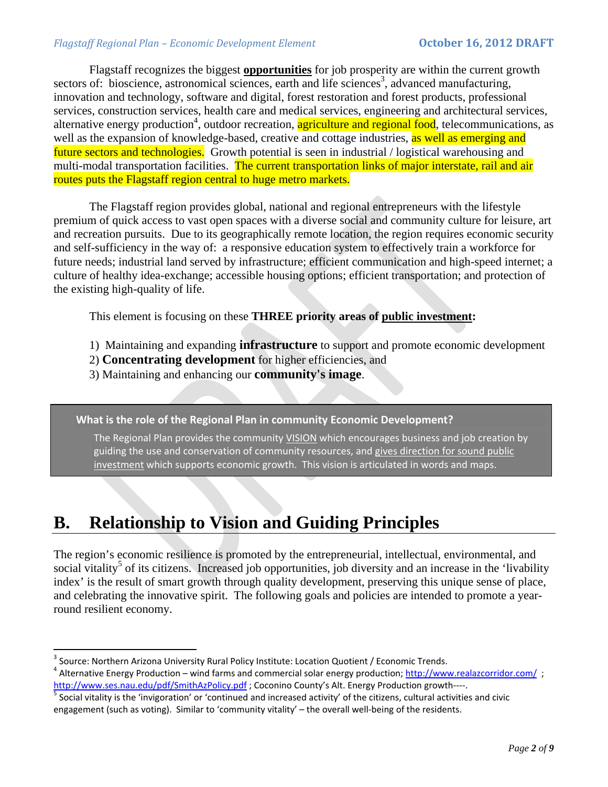### *Flagstaff Regional Plan – Economic Development Element* **October 16, 2012 DRAFT**

 Flagstaff recognizes the biggest **opportunities** for job prosperity are within the current growth sectors of: bioscience, astronomical sciences, earth and life sciences<sup>3</sup>, advanced manufacturing, innovation and technology, software and digital, forest restoration and forest products, professional services, construction services, health care and medical services, engineering and architectural services, alternative energy production<sup>4</sup>, outdoor recreation, agriculture and regional food, telecommunications, as well as the expansion of knowledge-based, creative and cottage industries, as well as emerging and future sectors and technologies. Growth potential is seen in industrial / logistical warehousing and multi-modal transportation facilities. The current transportation links of major interstate, rail and air routes puts the Flagstaff region central to huge metro markets.

The Flagstaff region provides global, national and regional entrepreneurs with the lifestyle premium of quick access to vast open spaces with a diverse social and community culture for leisure, art and recreation pursuits. Due to its geographically remote location, the region requires economic security and self-sufficiency in the way of: a responsive education system to effectively train a workforce for future needs; industrial land served by infrastructure; efficient communication and high-speed internet; a culture of healthy idea-exchange; accessible housing options; efficient transportation; and protection of the existing high-quality of life.

This element is focusing on these **THREE priority areas of public investment:** 

- 1) Maintaining and expanding **infrastructure** to support and promote economic development
- 2) **Concentrating development** for higher efficiencies, and
- 3) Maintaining and enhancing our **community's image**.

**What is the role of the Regional Plan in community Economic Development?** 

The Regional Plan provides the community VISION which encourages business and job creation by guiding the use and conservation of community resources, and gives direction for sound public investment which supports economic growth. This vision is articulated in words and maps.

# **B. Relationship to Vision and Guiding Principles**

The region's economic resilience is promoted by the entrepreneurial, intellectual, environmental, and social vitality<sup>5</sup> of its citizens. Increased job opportunities, job diversity and an increase in the 'livability index' is the result of smart growth through quality development, preserving this unique sense of place, and celebrating the innovative spirit. The following goals and policies are intended to promote a yearround resilient economy.

<sup>&</sup>lt;sup>3</sup> Source: Northern Arizona University Rural Policy Institute: Location Quotient / Economic Trends.<br> 4 Alternative Energy Production – wind farms and commercial solar energy production; http://www.realazcorridor.com/ ; http://www.ses.nau.edu/pdf/SmithAzPolicy.pdf ; Coconino County's Alt. Energy Production growth----.<br><sup>5</sup> Social vitality is the 'invigoration' or 'continued and increased activity' of the citizens, cultural activities and c

engagement (such as voting). Similar to 'community vitality' – the overall well‐being of the residents.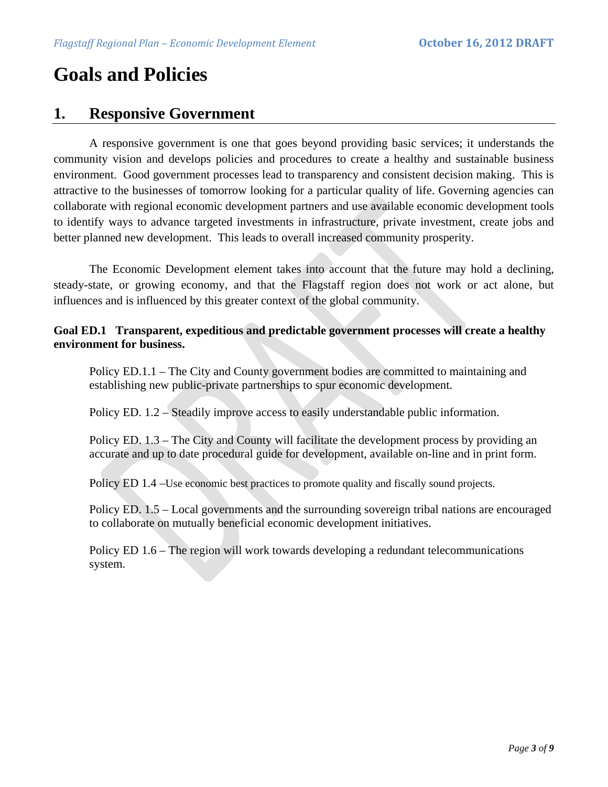# **Goals and Policies**

*<i>Property of the contract of the contract* 

# **1. Responsive Government**

 A responsive government is one that goes beyond providing basic services; it understands the community vision and develops policies and procedures to create a healthy and sustainable business environment. Good government processes lead to transparency and consistent decision making. This is attractive to the businesses of tomorrow looking for a particular quality of life. Governing agencies can collaborate with regional economic development partners and use available economic development tools to identify ways to advance targeted investments in infrastructure, private investment, create jobs and better planned new development. This leads to overall increased community prosperity.

The Economic Development element takes into account that the future may hold a declining, steady-state, or growing economy, and that the Flagstaff region does not work or act alone, but influences and is influenced by this greater context of the global community.

# **Goal ED.1 Transparent, expeditious and predictable government processes will create a healthy environment for business.**

Policy ED.1.1 – The City and County government bodies are committed to maintaining and establishing new public-private partnerships to spur economic development.

Policy ED. 1.2 – Steadily improve access to easily understandable public information.

Policy ED. 1.3 – The City and County will facilitate the development process by providing an accurate and up to date procedural guide for development, available on-line and in print form.

Policy ED 1.4 – Use economic best practices to promote quality and fiscally sound projects.

Policy ED. 1.5 – Local governments and the surrounding sovereign tribal nations are encouraged to collaborate on mutually beneficial economic development initiatives.

Policy ED 1.6 – The region will work towards developing a redundant telecommunications system.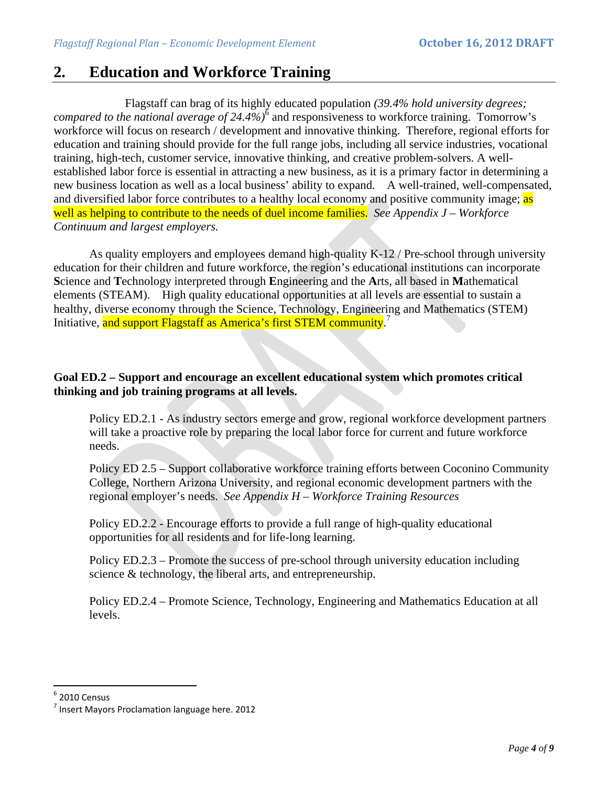# **2. Education and Workforce Training**

 Flagstaff can brag of its highly educated population *(39.4% hold university degrees;*  compared to the national average of 24.4%)<sup>6</sup> and responsiveness to workforce training. Tomorrow's workforce will focus on research / development and innovative thinking. Therefore, regional efforts for education and training should provide for the full range jobs, including all service industries, vocational training, high-tech, customer service, innovative thinking, and creative problem-solvers. A wellestablished labor force is essential in attracting a new business, as it is a primary factor in determining a new business location as well as a local business' ability to expand. A well-trained, well-compensated, and diversified labor force contributes to a healthy local economy and positive community image; as well as helping to contribute to the needs of duel income families. *See Appendix J – Workforce Continuum and largest employers.*

As quality employers and employees demand high-quality K-12 / Pre-school through university education for their children and future workforce, the region's educational institutions can incorporate **S**cience and **T**echnology interpreted through **E**ngineering and the **A**rts, all based in **M**athematical elements (STEAM). High quality educational opportunities at all levels are essential to sustain a healthy, diverse economy through the Science, Technology, Engineering and Mathematics (STEM) Initiative, and support Flagstaff as America's first STEM community.<sup>7</sup>

# **Goal ED.2 – Support and encourage an excellent educational system which promotes critical thinking and job training programs at all levels.**

Policy ED.2.1 - As industry sectors emerge and grow, regional workforce development partners will take a proactive role by preparing the local labor force for current and future workforce needs.

Policy ED 2.5 – Support collaborative workforce training efforts between Coconino Community College, Northern Arizona University, and regional economic development partners with the regional employer's needs. *See Appendix H – Workforce Training Resources*

Policy ED.2.2 - Encourage efforts to provide a full range of high-quality educational opportunities for all residents and for life-long learning.

Policy ED.2.3 – Promote the success of pre-school through university education including science & technology, the liberal arts, and entrepreneurship.

Policy ED.2.4 – Promote Science, Technology, Engineering and Mathematics Education at all levels.

 $^6$  2010 Census<br><sup>7</sup> Insert Mavors Proclamation language here. 2012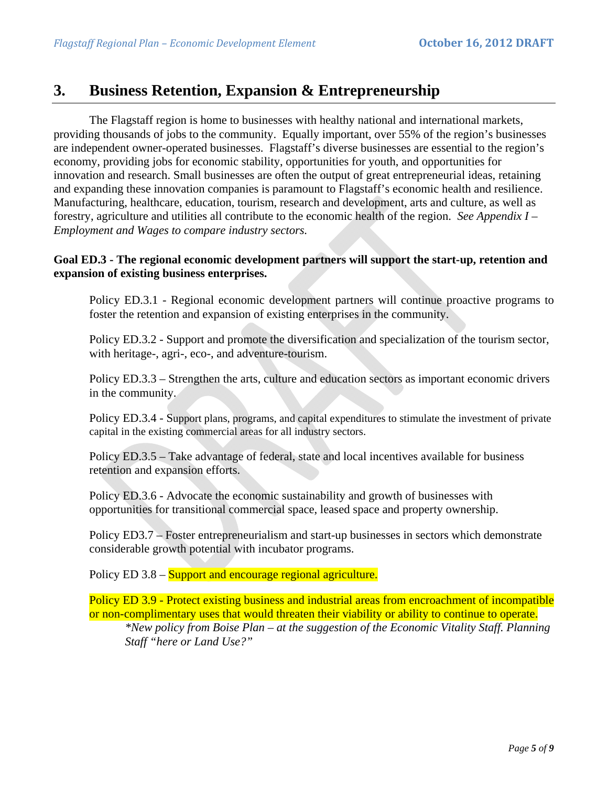# **3. Business Retention, Expansion & Entrepreneurship**

 The Flagstaff region is home to businesses with healthy national and international markets, providing thousands of jobs to the community. Equally important, over 55% of the region's businesses are independent owner-operated businesses. Flagstaff's diverse businesses are essential to the region's economy, providing jobs for economic stability, opportunities for youth, and opportunities for innovation and research. Small businesses are often the output of great entrepreneurial ideas, retaining and expanding these innovation companies is paramount to Flagstaff's economic health and resilience. Manufacturing, healthcare, education, tourism, research and development, arts and culture, as well as forestry, agriculture and utilities all contribute to the economic health of the region. *See Appendix I – Employment and Wages to compare industry sectors.*

### **Goal ED.3 - The regional economic development partners will support the start-up, retention and expansion of existing business enterprises.**

Policy ED.3.1 - Regional economic development partners will continue proactive programs to foster the retention and expansion of existing enterprises in the community.

Policy ED.3.2 - Support and promote the diversification and specialization of the tourism sector, with heritage-, agri-, eco-, and adventure-tourism.

Policy ED.3.3 – Strengthen the arts, culture and education sectors as important economic drivers in the community.

Policy ED.3.4 - Support plans, programs, and capital expenditures to stimulate the investment of private capital in the existing commercial areas for all industry sectors.

Policy ED.3.5 – Take advantage of federal, state and local incentives available for business retention and expansion efforts.

Policy ED.3.6 - Advocate the economic sustainability and growth of businesses with opportunities for transitional commercial space, leased space and property ownership.

Policy ED3.7 – Foster entrepreneurialism and start-up businesses in sectors which demonstrate considerable growth potential with incubator programs.

Policy ED 3.8 – Support and encourage regional agriculture.

Policy ED 3.9 - Protect existing business and industrial areas from encroachment of incompatible or non-complimentary uses that would threaten their viability or ability to continue to operate. *\*New policy from Boise Plan – at the suggestion of the Economic Vitality Staff. Planning Staff "here or Land Use?"*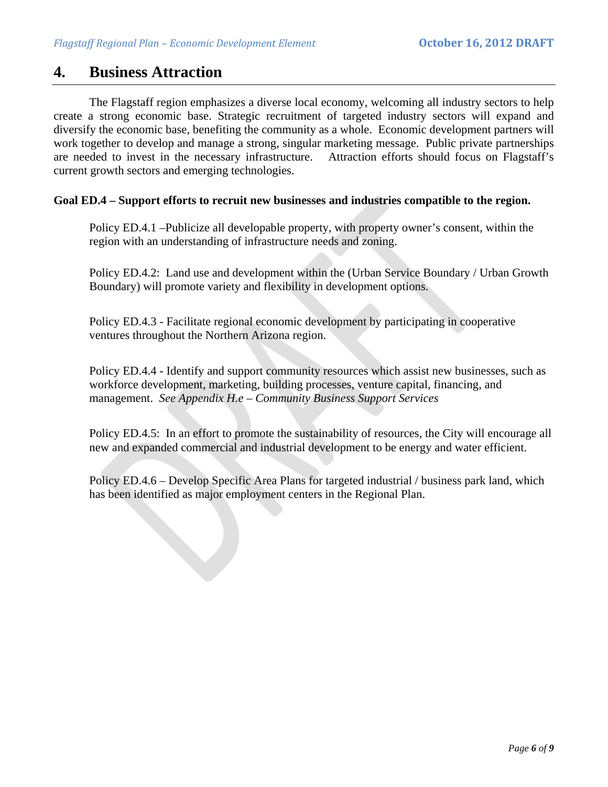# **4. Business Attraction**

 The Flagstaff region emphasizes a diverse local economy, welcoming all industry sectors to help create a strong economic base. Strategic recruitment of targeted industry sectors will expand and diversify the economic base, benefiting the community as a whole. Economic development partners will work together to develop and manage a strong, singular marketing message. Public private partnerships are needed to invest in the necessary infrastructure. Attraction efforts should focus on Flagstaff's current growth sectors and emerging technologies.

#### **Goal ED.4 – Support efforts to recruit new businesses and industries compatible to the region.**

Policy ED.4.1 –Publicize all developable property, with property owner's consent, within the region with an understanding of infrastructure needs and zoning.

Policy ED.4.2: Land use and development within the (Urban Service Boundary / Urban Growth Boundary) will promote variety and flexibility in development options.

Policy ED.4.3 - Facilitate regional economic development by participating in cooperative ventures throughout the Northern Arizona region.

Policy ED.4.4 - Identify and support community resources which assist new businesses, such as workforce development, marketing, building processes, venture capital, financing, and management. *See Appendix H.e – Community Business Support Services*

Policy ED.4.5: In an effort to promote the sustainability of resources, the City will encourage all new and expanded commercial and industrial development to be energy and water efficient.

Policy ED.4.6 – Develop Specific Area Plans for targeted industrial / business park land, which has been identified as major employment centers in the Regional Plan.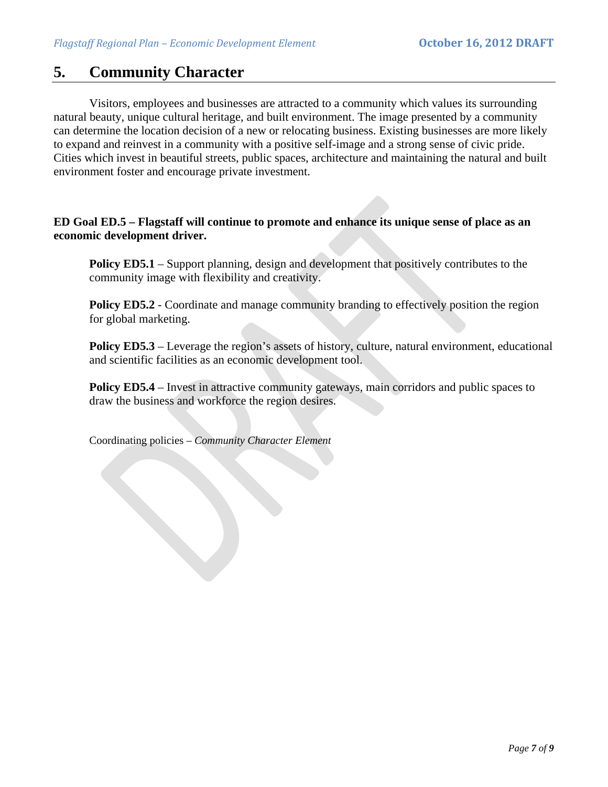# **5. Community Character**

 Visitors, employees and businesses are attracted to a community which values its surrounding natural beauty, unique cultural heritage, and built environment. The image presented by a community can determine the location decision of a new or relocating business. Existing businesses are more likely to expand and reinvest in a community with a positive self-image and a strong sense of civic pride. Cities which invest in beautiful streets, public spaces, architecture and maintaining the natural and built environment foster and encourage private investment.

### **ED Goal ED.5 – Flagstaff will continue to promote and enhance its unique sense of place as an economic development driver.**

**Policy ED5.1** – Support planning, design and development that positively contributes to the community image with flexibility and creativity.

**Policy ED5.2** - Coordinate and manage community branding to effectively position the region for global marketing.

**Policy ED5.3** – Leverage the region's assets of history, culture, natural environment, educational and scientific facilities as an economic development tool.

**Policy ED5.4** – Invest in attractive community gateways, main corridors and public spaces to draw the business and workforce the region desires.

Coordinating policies – *Community Character Element*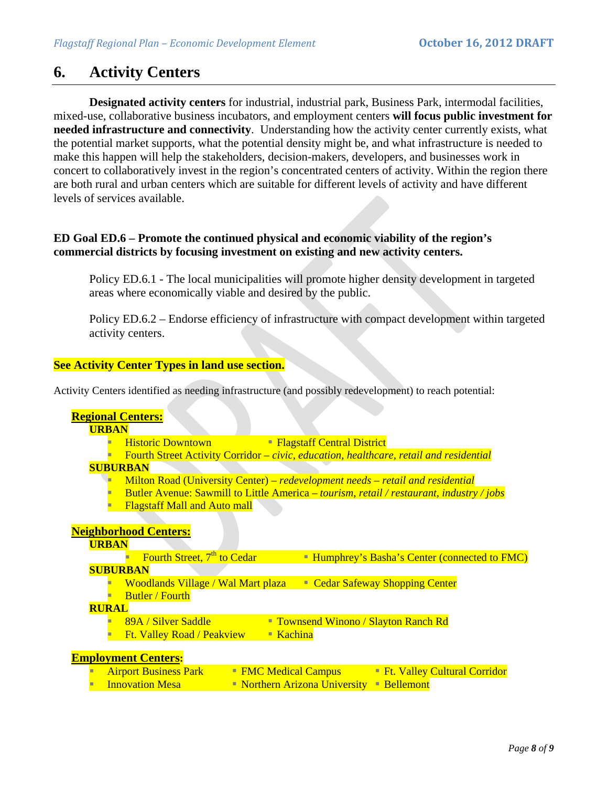# **6. Activity Centers**

**Designated activity centers** for industrial, industrial park, Business Park, intermodal facilities, mixed-use, collaborative business incubators, and employment centers **will focus public investment for needed infrastructure and connectivity**. Understanding how the activity center currently exists, what the potential market supports, what the potential density might be, and what infrastructure is needed to make this happen will help the stakeholders, decision-makers, developers, and businesses work in concert to collaboratively invest in the region's concentrated centers of activity. Within the region there are both rural and urban centers which are suitable for different levels of activity and have different levels of services available.

### **ED Goal ED.6 – Promote the continued physical and economic viability of the region's commercial districts by focusing investment on existing and new activity centers.**

Policy ED.6.1 - The local municipalities will promote higher density development in targeted areas where economically viable and desired by the public.

Policy ED.6.2 – Endorse efficiency of infrastructure with compact development within targeted activity centers.

#### **See Activity Center Types in land use section.**

Activity Centers identified as needing infrastructure (and possibly redevelopment) to reach potential:

### **Regional Centers:**

#### **URBAN**

- **Historic Downtown Flagstaff Central District**
- Fourth Street Activity Corridor *civic, education, healthcare, retail and residential* **SUBURBAN** 
	- Milton Road (University Center) – *redevelopment needs retail and residential*
	- Butler Avenue: Sawmill to Little America *tourism, retail / restaurant, industry / jobs*
	- **Flagstaff Mall and Auto mall**

### **Neighborhood Centers:**

#### **URBAN**

- Fourth Street,  $7<sup>th</sup>$  to Cedar  **Humphrey's Basha's Center (connected to FMC)**
- **SUBURBAN** 
	- Woodlands Village / Wal Mart plaza Cedar Safeway Shopping Center
	- **Butler / Fourth**

#### **RURAL**

- 89A / Silver Saddle Townsend Winono / Slayton Ranch Rd
- **Ft. Valley Road / Peakview Kachina**

#### **Employment Centers:**

- Airport Business Park FMC Medical Campus Ft. Valley Cultural Corridor
- Innovation Mesa Northern Arizona University Bellemont